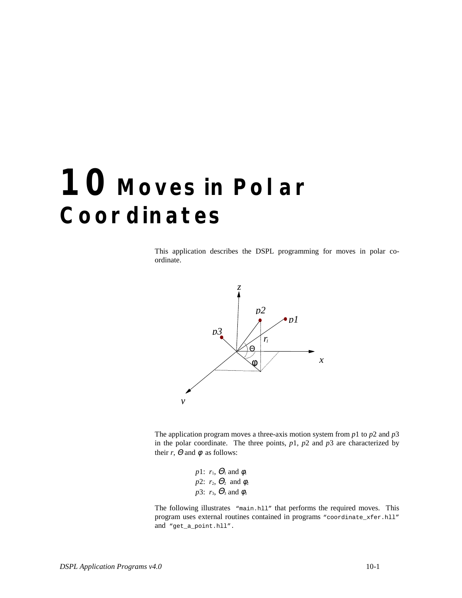## **10 Moves in Polar Coordinates**

This application describes the DSPL programming for moves in polar coordinate.



The application program moves a three-axis motion system from *p*1 to *p*2 and *p*3 in the polar coordinate. The three points,  $p1$ ,  $p2$  and  $p3$  are characterized by their  $r$ ,  $\Theta$  and  $\phi$  as follows:

> *p*1:  $r_1$ ,  $\Theta_1$  and  $\phi_1$ *p*2:  $r_2$ ,  $\Theta_2$  and  $\phi_2$ *p*3:  $r_3$ ,  $\Theta_3$  and  $\phi_3$

The following illustrates "main.hll" that performs the required moves. This program uses external routines contained in programs "coordinate\_xfer.hll" and "get\_a\_point.hll".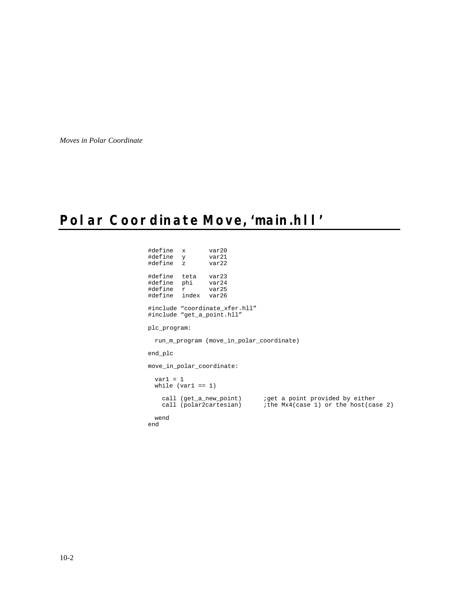*Moves in Polar Coordinate*

## **Polar Coordinate Move, 'main.hll'**

#define x var20 #define y var21 #define z var22 #define teta var23 #define phi var24 #define r var25 #define index var26 #include "coordinate\_xfer.hll" #include "get\_a\_point.hll" plc\_program: run\_m\_program (move\_in\_polar\_coordinate) end\_plc move\_in\_polar\_coordinate:  $var1 = 1$ while  $(var1 == 1)$ call (get\_a\_new\_point) ;get a point provided by either call (polar2cartesian) ;the Mx4(case 1) or the host(case 2) wend end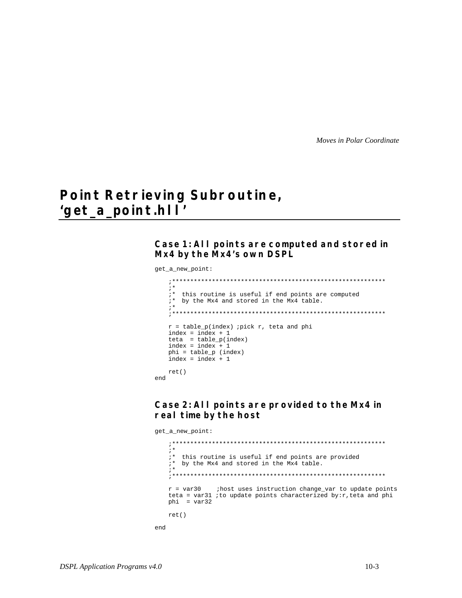Moves in Polar Coordinate

## Point Retrieving Subroutine, 'get\_a\_point.hl |'

Case 1: All points are computed and stored in Mx4 by the Mx4's own DSPL

get\_a\_new\_point:

```
; *"* this routine is useful if end points are computed
  i* by the Mx4 and stored in the Mx4 table.
  ; *r = table_p(index) ; pick r, teta and phi
  index = index + 1teta = table_p(index)<br>index = index + 1
  phi = table_p (index)index = index + 1ret()and
```
Case 2: All points are provided to the Mx4 in real time by the host

get\_a\_new\_point:

```
; *i* this routine is useful if end points are provided
  i^* by the Mx4 and stored in the Mx4 table.
  ; *ihost uses instruction change_var to update points
  r = \text{var}30teta = var31 ;to update points characterized by:r, teta and phi
  phi = var32ret()\operatorname{\textsf{end}}
```